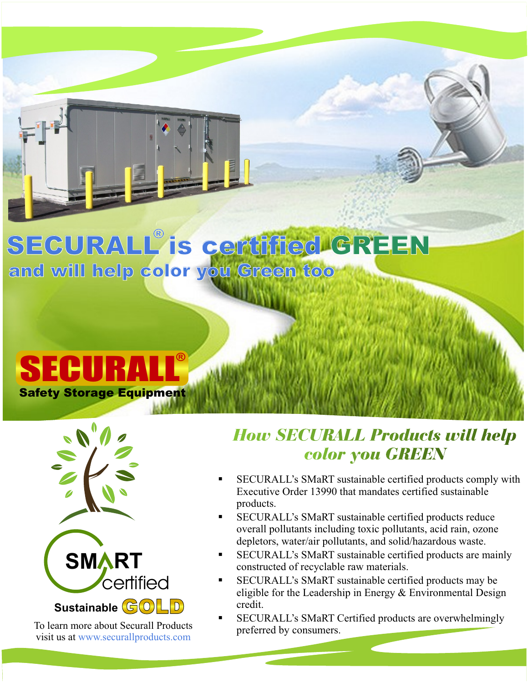## **SECURALL is certified GREEN ® and will help color you Green too**

## **SECURAL Safety Storage Equipment**



To learn more about Securall Products visit us at [www.securallproducts.com](http://www.securallproducts.com)

## *How SECURALL Products will help* **COLOP YOU GREEN**<br>• SECURALL's SMaRT sustainable certified products comply with

- Executive Order 13990 that mandates certified sustainable §products. SECURALL's SMaRT sustainable certified products reduce
- overall pollutants including toxic pollutants, acid rain, ozone<br>depletors, water/air pollutants, and solid/hazardous waste.
- §depletors, water/air pollutants, and solid/hazardous waste. SECURALL's SMaRT sustainable certified products are mainly
- §constructed of recyclable raw materials. SECURALL's SMaRT sustainable certified products may be eligible for the Leadership in Energy & Environmental Design
- §credit. SECURALL's SMaRT Certified products are overwhelmingly preferred by consumers.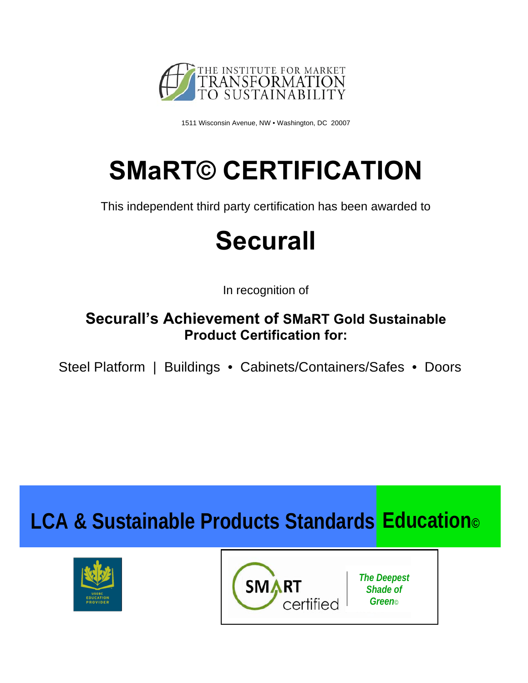

1511 Wisconsin Avenue, NW • Washington, DC 20007

# **SMaRT© CERTIFICATION**

This independent third party certification has been awarded to

## **Securall**

In recognition of

### **Securall's Achievement of SMaRT Gold Sustainable Product Certification for:**

Steel Platform | Buildings • Cabinets/Containers/Safes • Doors

### **LCA & Sustainable Products Standards Education©**





*The Deepest Shade of Green*©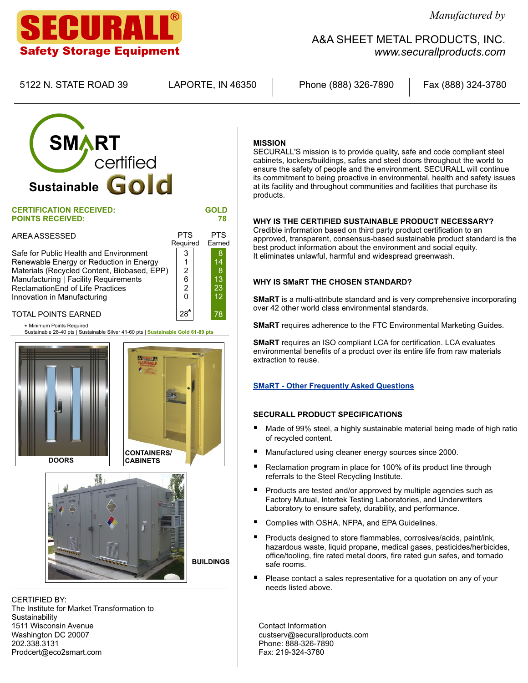### ECURAL Safety Storage Equipment

5122 N. STATE ROAD 39 LAPORTE, IN 46350 Phone (888) 326-7890 Fax (888) 324-3780

Earned

78

*www.securallproducts.com*

## **SMART Second** certified **Sustainable Gold**

| <b>CERTIFICATION RECEIVED:</b> |            | <b>GOLD</b> |
|--------------------------------|------------|-------------|
| <b>POINTS RECEIVED:</b>        |            | 78          |
| AREA ASSESSED                  | <b>PTS</b> | PTS.        |

Safe for Public Health and Environment Renewable Energy or Reduction in Energy Materials (Recycled Content, Biobased, EPP) Manufacturing | Facility Requirements ReclamationEnd of Life Practices Innovation in Manufacturing 3 1 2 6 2  $\Omega$ 28 \* Required

### TOTAL POINTS EARNED

Sustainable 28-40 pts | Sustainable Silver 41-60 pts | **Sustainable Gold 61-89 pts** Minimum Points Required \*







CERTIFIED BY: The Institute for Market Transformation to **Sustainability** 1511 Wisconsin Avenue Washington DC 20007 202.338.3131 Prodcert@eco2smart.com

#### **MISSION**

SECURALL'S mission is to provide quality, safe and code compliant steel cabinets, lockers/buildings, safes and steel doors throughout the world to ensure the safety of people and the environment. SECURALL will continue its commitment to being proactive in environmental, health and safety issues at its facility and throughout communities and facilities that purchase its products.

A&A SHEET METAL PRODUCTS, INC.

#### **WHY IS THE CERTIFIED SUSTAINABLE PRODUCT NECESSARY?**

Credible information based on third party product certification to an approved, transparent, consensus-based sustainable product standard is the best product information about the environment and social equity. It eliminates unlawful, harmful and widespread greenwash.

#### **WHY IS SMaRT THE CHOSEN STANDARD?**

**SMaRT** is a multi-attribute standard and is very comprehensive incorporating over 42 other world class environmental standards.

**SMaRT** requires adherence to the FTC Environmental Marketing Guides.

**SMaRT** requires an ISO compliant LCA for certification. LCA evaluates environmental benefits of a product over its entire life from raw materials extraction to reuse.

### **SMaRT - Other Frequently Asked Questions**

- **SECURALL PRODUCT SPECIFICATIONS**<br>■ Made of 99% steel, a highly sustainable material being made of high ratio of recycled content.<br>■ Manufactured using cleaner energy sources since 2000.
- 
- Manufactured using cleaner energy sources since 2000.<br>■ Reclamation program in place for 100% of its product line through
- §referrals to the Steel Recycling Institute. Products are tested and/or approved by multiple agencies such as Factory Mutual, Intertek Testing Laboratories, and Underwriters
- Laboratory to ensure safety, durability, and performance.<br>■ Complies with OSHA, NFPA, and EPA Guidelines.
- Complies with OSHA, NFPA, and EPA Guidelines.<br>■ Products designed to store flammables, corrosives/acids, paint/ink, hazardous waste, liquid propane, medical gases, pesticides/herbicides, office/tooling, fire rated metal doors, fire rated gun safes, and tornado<br>safe rooms.
- §safe rooms. Please contact a sales representative for a quotation on any of your needs listed above.

Contact Information custserv@securallproducts.com Phone: 888-326-7890 Fax: 219-324-3780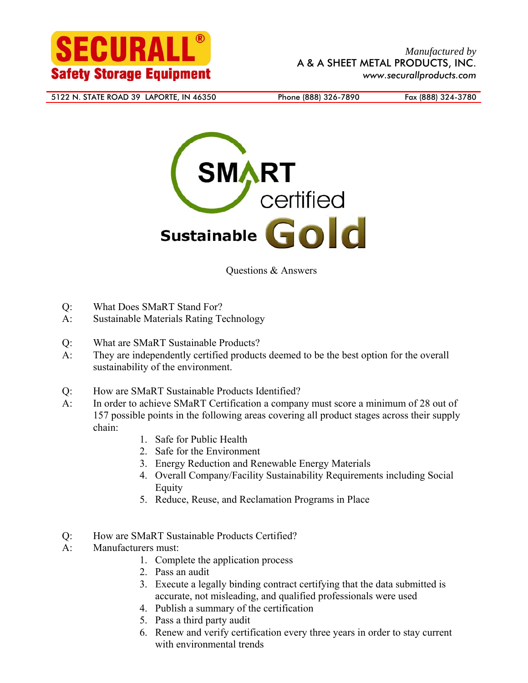



Questions & Answers

- Q: What Does SMaRT Stand For?
- A: Sustainable Materials Rating Technology
- Q: What are SMaRT Sustainable Products?
- A: They are independently certified products deemed to be the best option for the overall sustainability of the environment.
- Q: How are SMaRT Sustainable Products Identified?
- A: In order to achieve SMaRT Certification a company must score a minimum of 28 out of 157 possible points in the following areas covering all product stages across their supply chain:
	- 1. Safe for Public Health
	- 2. Safe for the Environment
	- 3. Energy Reduction and Renewable Energy Materials
	- 4. Overall Company/Facility Sustainability Requirements including Social Equity
	- 5. Reduce, Reuse, and Reclamation Programs in Place
- Q: How are SMaRT Sustainable Products Certified?
- A: Manufacturers must:
	- 1. Complete the application process
	- 2. Pass an audit
	- 3. Execute a legally binding contract certifying that the data submitted is accurate, not misleading, and qualified professionals were used
	- 4. Publish a summary of the certification
	- 5. Pass a third party audit
	- 6. Renew and verify certification every three years in order to stay current with environmental trends